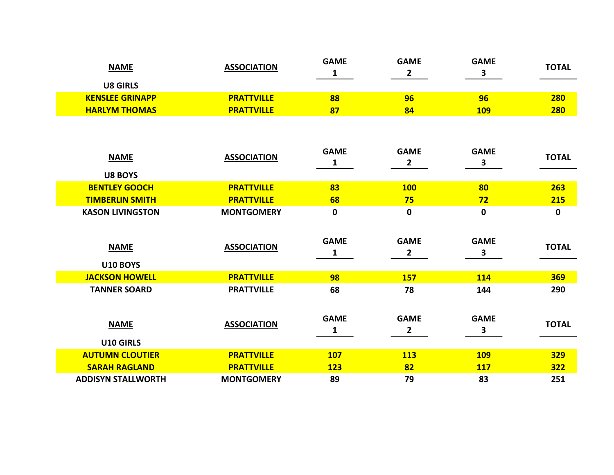| <b>NAME</b>            | <b>ASSOCIATION</b> | <b>GAME</b> | <b>GAME</b> | <b>GAME</b>  | <b>TOTAL</b> |
|------------------------|--------------------|-------------|-------------|--------------|--------------|
| <b>U8 GIRLS</b>        |                    |             |             |              |              |
| <b>KENSLEE GRINAPP</b> | <b>PRATTVILLE</b>  | 88          | 96          | 96           | 280          |
| <b>HARLYM THOMAS</b>   | <b>PRATTVILLE</b>  | 87          | 84          | <u> 109 </u> | 280          |

| <b>NAME</b>               | <b>ASSOCIATION</b> | <b>GAME</b>      | <b>GAME</b>                 | <b>GAME</b>      | <b>TOTAL</b> |
|---------------------------|--------------------|------------------|-----------------------------|------------------|--------------|
|                           |                    | 1                | 2                           | 3                |              |
| <b>U8 BOYS</b>            |                    |                  |                             |                  |              |
| <b>BENTLEY GOOCH</b>      | <b>PRATTVILLE</b>  | 83               | <b>100</b>                  | 80               | 263          |
| <b>TIMBERLIN SMITH</b>    | <b>PRATTVILLE</b>  | 68               | 75                          | 72               | 215          |
| <b>KASON LIVINGSTON</b>   | <b>MONTGOMERY</b>  | $\mathbf 0$      | $\pmb{0}$                   | 0                | $\mathbf 0$  |
| <b>NAME</b>               | <b>ASSOCIATION</b> | <b>GAME</b><br>1 | <b>GAME</b><br>$\mathbf{2}$ | <b>GAME</b><br>3 | <b>TOTAL</b> |
| <b>U10 BOYS</b>           |                    |                  |                             |                  |              |
| <b>JACKSON HOWELL</b>     | <b>PRATTVILLE</b>  | 98               | <b>157</b>                  | <b>114</b>       | <b>369</b>   |
| <b>TANNER SOARD</b>       | <b>PRATTVILLE</b>  | 68               | 78                          | 144              | 290          |
| <b>NAME</b><br>U10 GIRLS  | <b>ASSOCIATION</b> | <b>GAME</b><br>1 | <b>GAME</b><br>$\mathbf{2}$ | <b>GAME</b><br>3 | <b>TOTAL</b> |
| <b>AUTUMN CLOUTIER</b>    | <b>PRATTVILLE</b>  | <b>107</b>       | <b>113</b>                  | <b>109</b>       | <b>329</b>   |
| <b>SARAH RAGLAND</b>      | <b>PRATTVILLE</b>  | <b>123</b>       | 82                          | <b>117</b>       | <b>322</b>   |
| <b>ADDISYN STALLWORTH</b> | <b>MONTGOMERY</b>  | 89               | 79                          | 83               | 251          |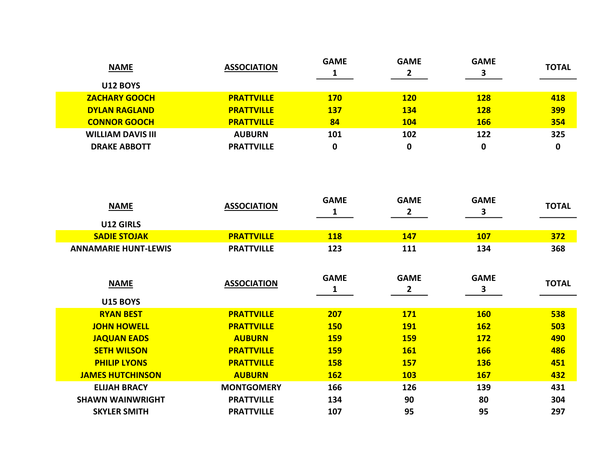| <b>NAME</b>              | <b>ASSOCIATION</b> | <b>GAME</b> | <b>GAME</b><br>2 | <b>GAME</b> | <b>TOTAL</b> |
|--------------------------|--------------------|-------------|------------------|-------------|--------------|
| <b>U12 BOYS</b>          |                    |             |                  |             |              |
| <b>ZACHARY GOOCH</b>     | <b>PRATTVILLE</b>  | <b>170</b>  | <b>120</b>       | <b>128</b>  | 418          |
| <b>DYLAN RAGLAND</b>     | <b>PRATTVILLE</b>  | <b>137</b>  | <b>134</b>       | <b>128</b>  | <b>399</b>   |
| <b>CONNOR GOOCH</b>      | <b>PRATTVILLE</b>  | 84          | <b>104</b>       | <b>166</b>  | 354          |
| <b>WILLIAM DAVIS III</b> | <b>AUBURN</b>      | 101         | 102              | 122         | 325          |
| <b>DRAKE ABBOTT</b>      | <b>PRATTVILLE</b>  | 0           | 0                |             | 0            |

| <b>NAME</b>                 | <b>ASSOCIATION</b> | <b>GAME</b>      | <b>GAME</b><br>$\mathbf{2}$ | <b>GAME</b><br>3 | <b>TOTAL</b> |
|-----------------------------|--------------------|------------------|-----------------------------|------------------|--------------|
| U12 GIRLS                   |                    |                  |                             |                  |              |
| <b>SADIE STOJAK</b>         | <b>PRATTVILLE</b>  | <b>118</b>       | <b>147</b>                  | <b>107</b>       | 372          |
| <b>ANNAMARIE HUNT-LEWIS</b> | <b>PRATTVILLE</b>  | 123              | 111                         | 134              | 368          |
| <b>NAME</b>                 | <b>ASSOCIATION</b> | <b>GAME</b><br>1 | <b>GAME</b><br>2            | <b>GAME</b><br>3 | <b>TOTAL</b> |
| <b>U15 BOYS</b>             |                    |                  |                             |                  |              |
| <b>RYAN BEST</b>            | <b>PRATTVILLE</b>  | 207              | <b>171</b>                  | <b>160</b>       | 538          |
| <b>JOHN HOWELL</b>          | <b>PRATTVILLE</b>  | <b>150</b>       | <b>191</b>                  | <b>162</b>       | 503          |
| <b>JAQUAN EADS</b>          | <b>AUBURN</b>      | <b>159</b>       | <b>159</b>                  | <b>172</b>       | 490          |
| <b>SETH WILSON</b>          | <b>PRATTVILLE</b>  | <b>159</b>       | <b>161</b>                  | <b>166</b>       | 486          |
| <b>PHILIP LYONS</b>         | <b>PRATTVILLE</b>  | <b>158</b>       | <b>157</b>                  | <b>136</b>       | 451          |
| <b>JAMES HUTCHINSON</b>     | <b>AUBURN</b>      | <b>162</b>       | <b>103</b>                  | <b>167</b>       | 432          |
| <b>ELIJAH BRACY</b>         | <b>MONTGOMERY</b>  | 166              | 126                         | 139              | 431          |
| <b>SHAWN WAINWRIGHT</b>     | <b>PRATTVILLE</b>  | 134              | 90                          | 80               | 304          |
| <b>SKYLER SMITH</b>         | <b>PRATTVILLE</b>  | 107              | 95                          | 95               | 297          |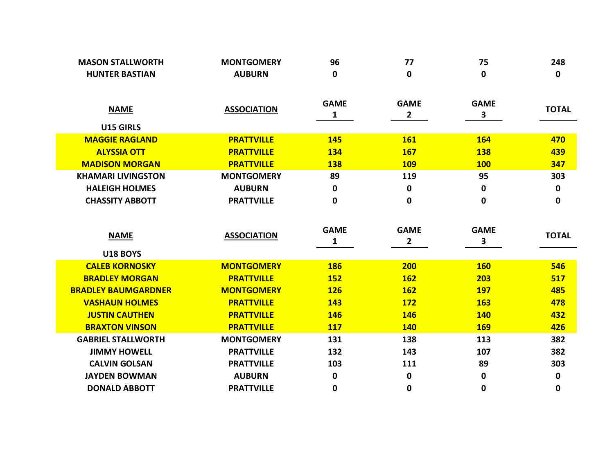| <b>MASON STALLWORTH</b>    | <b>MONTGOMERY</b>  | 96          | 77             | 75           | 248          |
|----------------------------|--------------------|-------------|----------------|--------------|--------------|
| <b>HUNTER BASTIAN</b>      | <b>AUBURN</b>      | 0           | $\mathbf 0$    | 0            | 0            |
|                            |                    |             |                |              |              |
| <b>NAME</b>                | <b>ASSOCIATION</b> | <b>GAME</b> | <b>GAME</b>    | <b>GAME</b>  | <b>TOTAL</b> |
|                            |                    | 1           | $\overline{2}$ | $\mathbf{3}$ |              |
| U15 GIRLS                  |                    |             |                |              |              |
| <b>MAGGIE RAGLAND</b>      | <b>PRATTVILLE</b>  | <b>145</b>  | <b>161</b>     | <b>164</b>   | 470          |
| <b>ALYSSIA OTT</b>         | <b>PRATTVILLE</b>  | <b>134</b>  | <b>167</b>     | <b>138</b>   | 439          |
| <b>MADISON MORGAN</b>      | <b>PRATTVILLE</b>  | <b>138</b>  | <b>109</b>     | <b>100</b>   | 347          |
| <b>KHAMARI LIVINGSTON</b>  | <b>MONTGOMERY</b>  | 89          | 119            | 95           | 303          |
| <b>HALEIGH HOLMES</b>      | <b>AUBURN</b>      | 0           | $\mathbf 0$    | 0            | 0            |
| <b>CHASSITY ABBOTT</b>     | <b>PRATTVILLE</b>  | $\mathbf 0$ | $\mathbf 0$    | 0            | 0            |
|                            |                    |             |                |              |              |
|                            |                    | <b>GAME</b> | <b>GAME</b>    | <b>GAME</b>  |              |
|                            |                    |             |                |              |              |
| <b>NAME</b>                | <b>ASSOCIATION</b> |             |                |              | <b>TOTAL</b> |
| <b>U18 BOYS</b>            |                    | 1           | $\mathbf{2}$   | 3            |              |
| <b>CALEB KORNOSKY</b>      | <b>MONTGOMERY</b>  | <b>186</b>  | 200            | <b>160</b>   | 546          |
| <b>BRADLEY MORGAN</b>      | <b>PRATTVILLE</b>  | <b>152</b>  | <b>162</b>     | 203          | 517          |
| <b>BRADLEY BAUMGARDNER</b> | <b>MONTGOMERY</b>  | <b>126</b>  | <b>162</b>     | <b>197</b>   | 485          |
| <b>VASHAUN HOLMES</b>      | <b>PRATTVILLE</b>  | <b>143</b>  | <b>172</b>     | <b>163</b>   | 478          |
| <b>JUSTIN CAUTHEN</b>      | <b>PRATTVILLE</b>  | <b>146</b>  | <b>146</b>     | <b>140</b>   | 432          |
| <b>BRAXTON VINSON</b>      | <b>PRATTVILLE</b>  | <b>117</b>  | <b>140</b>     | <b>169</b>   | 426          |
| <b>GABRIEL STALLWORTH</b>  | <b>MONTGOMERY</b>  | 131         | 138            | 113          | 382          |
| <b>JIMMY HOWELL</b>        | <b>PRATTVILLE</b>  | 132         | 143            | 107          | 382          |
| <b>CALVIN GOLSAN</b>       | <b>PRATTVILLE</b>  | 103         | 111            | 89           | 303          |
| <b>JAYDEN BOWMAN</b>       | <b>AUBURN</b>      | $\mathbf 0$ | $\pmb{0}$      | 0            | 0            |